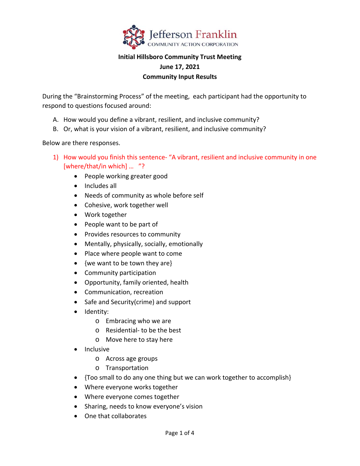

## **Initial Hillsboro Community Trust Meeting June 17, 2021 Community Input Results**

During the "Brainstorming Process" of the meeting, each participant had the opportunity to respond to questions focused around:

- A. How would you define a vibrant, resilient, and inclusive community?
- B. Or, what is your vision of a vibrant, resilient, and inclusive community?

Below are there responses.

- 1) How would you finish this sentence- "A vibrant, resilient and inclusive community in one [where/that/in which] ... "?
	- People working greater good
	- Includes all
	- Needs of community as whole before self
	- Cohesive, work together well
	- Work together
	- People want to be part of
	- Provides resources to community
	- Mentally, physically, socially, emotionally
	- Place where people want to come
	- {we want to be town they are}
	- Community participation
	- Opportunity, family oriented, health
	- Communication, recreation
	- Safe and Security(crime) and support
	- Identity:
		- o Embracing who we are
		- o Residential‐ to be the best
		- o Move here to stay here
	- Inclusive
		- o Across age groups
		- o Transportation
	- {Too small to do any one thing but we can work together to accomplish}
	- Where everyone works together
	- Where everyone comes together
	- Sharing, needs to know everyone's vision
	- One that collaborates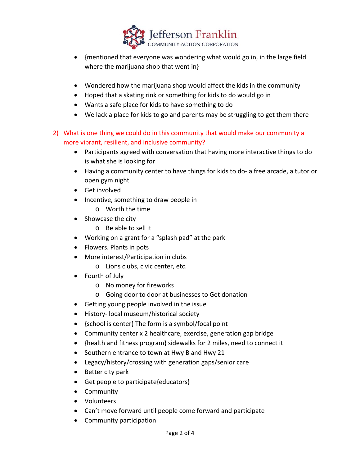

- {mentioned that everyone was wondering what would go in, in the large field where the marijuana shop that went in}
- Wondered how the marijuana shop would affect the kids in the community
- Hoped that a skating rink or something for kids to do would go in
- Wants a safe place for kids to have something to do
- We lack a place for kids to go and parents may be struggling to get them there
- 2) What is one thing we could do in this community that would make our community a more vibrant, resilient, and inclusive community?
	- Participants agreed with conversation that having more interactive things to do is what she is looking for
	- Having a community center to have things for kids to do- a free arcade, a tutor or open gym night
	- Get involved
	- Incentive, something to draw people in
		- o Worth the time
	- Showcase the city
		- o Be able to sell it
	- Working on a grant for a "splash pad" at the park
	- Flowers. Plants in pots
	- More interest/Participation in clubs
		- o Lions clubs, civic center, etc.
	- Fourth of July
		- o No money for fireworks
		- o Going door to door at businesses to Get donation
	- Getting young people involved in the issue
	- History- local museum/historical society
	- {school is center} The form is a symbol/focal point
	- Community center x 2 healthcare, exercise, generation gap bridge
	- {health and fitness program} sidewalks for 2 miles, need to connect it
	- Southern entrance to town at Hwy B and Hwy 21
	- Legacy/history/crossing with generation gaps/senior care
	- Better city park
	- Get people to participate{educators}
	- **•** Community
	- Volunteers
	- Can't move forward until people come forward and participate
	- Community participation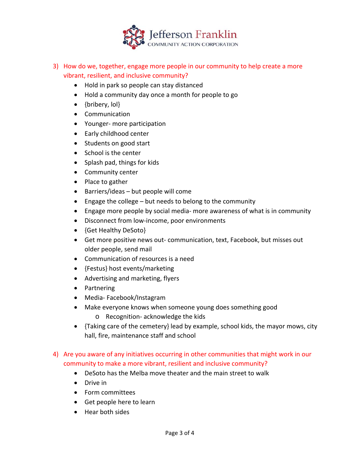

- 3) How do we, together, engage more people in our community to help create a more vibrant, resilient, and inclusive community?
	- Hold in park so people can stay distanced
	- Hold a community day once a month for people to go
	- $\bullet$  {bribery,  $\{ol\}$ }
	- Communication
	- Younger- more participation
	- Early childhood center
	- Students on good start
	- School is the center
	- Splash pad, things for kids
	- Community center
	- Place to gather
	- Barriers/ideas but people will come
	- $\bullet$  Engage the college but needs to belong to the community
	- Engage more people by social media- more awareness of what is in community
	- Disconnect from low-income, poor environments
	- {Get Healthy DeSoto}
	- Get more positive news out- communication, text, Facebook, but misses out older people, send mail
	- Communication of resources is a need
	- {Festus} host events/marketing
	- Advertising and marketing, flyers
	- Partnering
	- Media-Facebook/Instagram
	- Make everyone knows when someone young does something good
		- o Recognition‐ acknowledge the kids
	- {Taking care of the cemetery} lead by example, school kids, the mayor mows, city hall, fire, maintenance staff and school

## 4) Are you aware of any initiatives occurring in other communities that might work in our community to make a more vibrant, resilient and inclusive community?

- DeSoto has the Melba move theater and the main street to walk
- Drive in
- Form committees
- Get people here to learn
- Hear both sides